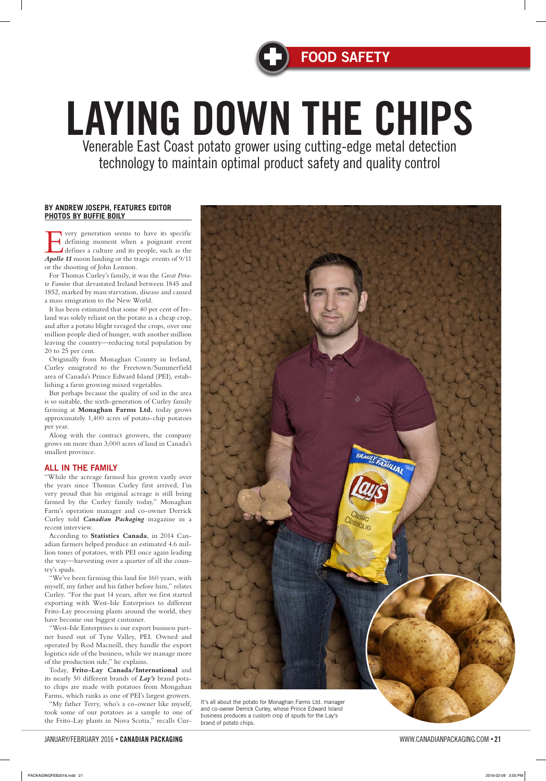### **BY ANDREW JOSEPH, FEATURES EDITOR PHOTOS BY BUFFIE BOILY**

The very generation seems to have its specific<br>defining moment when a poignant event<br>defines a culture and its people, such as the<br>**Analla 11** moon landing or the tracic events of 9/11 defining moment when a poignant event defines a culture and its people, such as the *Apollo 11* moon landing or the tragic events of 9/11 or the shooting of John Lennon.

For Thomas Curley's family, it was the *Great Potato Famine* that devastated Ireland between 1845 and 1852, marked by mass starvation, disease and caused a mass emigration to the New World.

It has been estimated that some 40 per cent of Ireland was solely reliant on the potato as a cheap crop, and after a potato blight ravaged the crops, over one million people died of hunger, with another million leaving the country—reducing total population by 20 to 25 per cent.

Originally from Monaghan County in Ireland, Curley emigrated to the Freetown/Summerfield area of Canada's Prince Edward Island (PEI), establishing a farm growing mixed vegetables.

But perhaps because the quality of soil in the area is so suitable, the sixth-generation of Curley family farming at **Monaghan Farms Ltd.** today grows approximately 1,400 acres of potato-chip potatoes per year.

Along with the contract growers, the company grows on more than 3,000 acres of land in Canada's smallest province.

## ALL IN THE FAMILY

"While the acreage farmed has grown vastly over the years since Thomas Curley first arrived, I'm very proud that his original acreage is still being farmed by the Curley family today," Monaghan Farm's operation manager and co-owner Derrick Curley told *Canadian Packaging* magazine in a recent interview.

According to **Statistics Canada**, in 2014 Canadian farmers helped produce an estimated 4.6 million tones of potatoes, with PEI once again leading the way—harvesting over a quarter of all the country's spuds.

"We've been farming this land for 160 years, with myself, my father and his father before him," relates Curley. "For the past 14 years, after we first started exporting with West-Isle Enterprises to different Frito-Lay processing plants around the world, they have become our biggest customer. "West-Isle Enterprises is our export business partner based out of Tyne Valley, PEI. Owned and operated by Rod Macneill, they handle the export logistics side of the business, while we manage more of the production side," he explains. Today, **Frito-Lay Canada/International** and its nearly 50 different brands of *Lay's* brand potato chips are made with potatoes from Mongahan Farms, which ranks as one of PEI's largest growers. "My father Terry, who's a co-owner like myself, took some of our potatoes as a sample to one of the Frito-Lay plants in Nova Scotia," recalls Cur-



# LAYING DOWN THE CHIPS Venerable East Coast potato grower using cutting-edge metal detection

technology to maintain optimal product safety and quality control

It's all about the potato for Monaghan Farms Ltd. manager and co-owner Derrick Curley, whose Prince Edward Island business produces a custom crop of spuds for the Lay's brand of potato chips.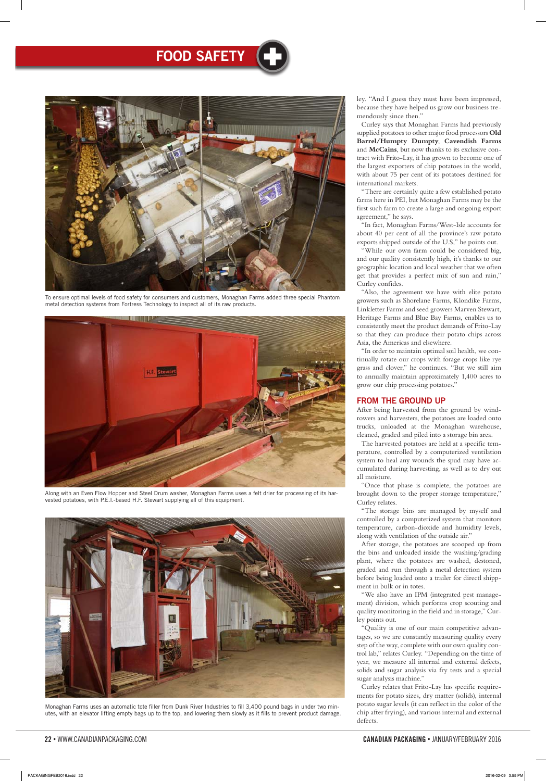#### 22 • WWW.CANADIANPACKAGING.COM CANADIAN PACKAGING • JANUARY/FEBRUARY 2016 JANUARY/FEBRUARY 2016 23

# FOOD SAFETY

ley. "And I guess they must have been impressed, because they have helped us grow our business tremendously since then."

Curley says that Monaghan Farms had previously supplied potatoes to other major food processors **Old Barrel/Humpty Dumpty**, **Cavendish Farms** and **McCains**, but now thanks to its exclusive contract with Frito-Lay, it has grown to become one of the largest exporters of chip potatoes in the world, with about 75 per cent of its potatoes destined for international markets.

"There are certainly quite a few established potato farms here in PEI, but Monaghan Farms may be the first such farm to create a large and ongoing export agreement," he says.

"In fact, Monaghan Farms/West-Isle accounts for about 40 per cent of all the province's raw potato exports shipped outside of the U.S," he points out.

"While our own farm could be considered big, and our quality consistently high, it's thanks to our geographic location and local weather that we often get that provides a perfect mix of sun and rain," Curley confides.

"Also, the agreement we have with elite potato growers such as Shorelane Farms, Klondike Farms, Linkletter Farms and seed growers Marven Stewart, Heritage Farms and Blue Bay Farms, enables us to consistently meet the product demands of Frito-Lay so that they can produce their potato chips across Asia, the Americas and elsewhere.

"In order to maintain optimal soil health, we continually rotate our crops with forage crops like rye grass and clover," he continues. "But we still aim to annually maintain approximately 1,400 acres to grow our chip processing potatoes."

## FROM THE GROUND UP

After being harvested from the ground by windrowers and harvesters, the potatoes are loaded onto trucks, unloaded at the Monaghan warehouse, cleaned, graded and piled into a storage bin area.

The harvested potatoes are held at a specific temperature, controlled by a computerized ventilation system to heal any wounds the spud may have accumulated during harvesting, as well as to dry out all moisture.

"Once that phase is complete, the potatoes are brought down to the proper storage temperature," Curley relates.

"The storage bins are managed by myself and controlled by a computerized system that monitors temperature, carbon-dioxide and humidity levels, along with ventilation of the outside air."

After storage, the potatoes are scooped up from the bins and unloaded inside the washing/grading plant, where the potatoes are washed, destoned, graded and run through a metal detection system before being loaded onto a trailer for directl shippment in bulk or in totes.

"We also have an IPM (integrated pest manage-

ment) division, which performs crop scouting and quality monitoring in the field and in storage," Curley points out.

"Quality is one of our main competitive advantages, so we are constantly measuring quality every step of the way, complete with our own quality control lab," relates Curley. "Depending on the time of year, we measure all internal and external defects, solids and sugar analysis via fry tests and a special sugar analysis machine."

Curley relates that Frito-Lay has specific requirements for potato sizes, dry matter (solids), internal potato sugar levels (it can reflect in the color of the chip after frying), and various internal and external defects.



Along with an Even Flow Hopper and Steel Drum washer, Monaghan Farms uses a felt drier for processing of its harvested potatoes, with P.E.I.-based H.F. Stewart supplying all of this equipment.



Monaghan Farms uses an automatic tote filler from Dunk River Industries to fill 3,400 pound bags in under two minutes, with an elevator lifting empty bags up to the top, and lowering them slowly as it fills to prevent product damage.



To ensure optimal levels of food safety for consumers and customers, Monaghan Farms added three special Phantom metal detection systems from Fortress Technology to inspect all of its raw products.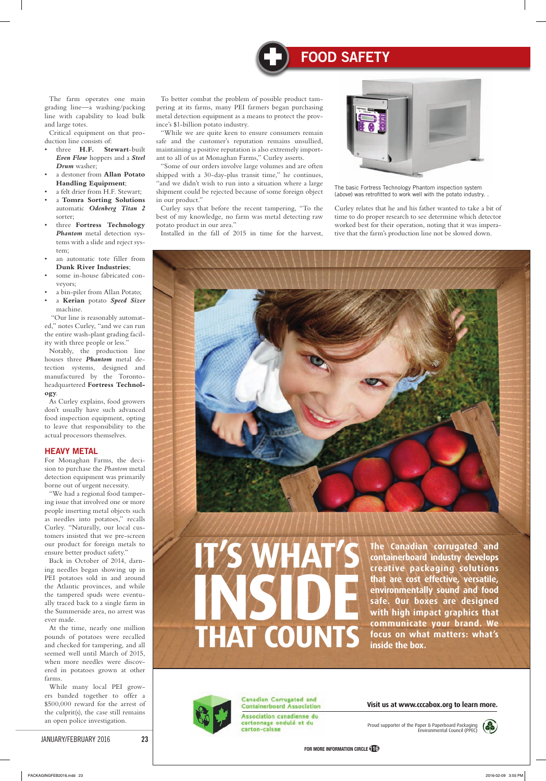

## **FOOD SAFETY**

#### JANUARY/FEBRUARY 2016 23

# **THAT COUNTS**

#### Canadian Corrugated and **Containerboard Association**

Association canadienne du cartonnage ondulé et du carton-caisse

Proud supporter of the Paper & Paperboard Packaging Environmental Council (PPEC)





**the canadian corrugated and containerboard industry develops creative packaging solutions that are cost effective, versatile, environmentally sound and food safe. our boxes are designed with high impact graphics that communicate your brand. we focus on what matters: what's inside the box.**

#### **Visit us at [www.cccabox.org to](http://www.cccabox.org) learn more.**



The farm operates one main grading line—a washing/packing line with capability to load bulk and large totes.

Critical equipment on that production line consists of:

- three **H.F. Stewart**-built *Even Flow* hoppers and a *Steel Drum* washer;
- a destoner from **Allan Potato Handling Equipment**;
- a felt drier from H.F. Stewart;
- a **Tomra Sorting Solutions** automatic *Odenberg Titan 2* sorter;
- three **Fortress Technology** *Phantom* metal detection systems with a slide and reject system;
- an automatic tote filler from **Dunk River Industries**;
- some in-house fabricated conveyors;
- a bin-piler from Allan Potato;
- a **Kerian** potato *Speed Sizer* machine.

 "Our line is reasonably automated," notes Curley, "and we can run the entire wash-plant grading facility with three people or less."

Notably, the production line houses three *Phantom* metal detection systems, designed and manufactured by the Torontoheadquartered **Fortress Technology**.

As Curley explains, food growers don't usually have such advanced food inspection equipment, opting to leave that responsibility to the actual processors themselves.

## HEAVY METAL

For Monaghan Farms, the decision to purchase the *Phantom* metal detection equipment was primarily borne out of urgent necessity.

"We had a regional food tampering issue that involved one or more people inserting metal objects such as needles into potatoes," recalls Curley. "Naturally, our local customers insisted that we pre-screen our product for foreign metals to ensure better product safety."

Back in October of 2014, darning needles began showing up in PEI potatoes sold in and around the Atlantic provinces, and while the tampered spuds were eventually traced back to a single farm in the Summerside area, no arrest was ever made. At the time, nearly one million pounds of potatoes were recalled and checked for tampering, and all seemed well until March of 2015, when more needles were discovered in potatoes grown at other farms. While many local PEI growers banded together to offer a \$500,000 reward for the arrest of the culprit(s), the case still remains an open police investigation.

To better combat the problem of possible product tampering at its farms, many PEI farmers began purchasing metal detection equipment as a means to protect the province's \$1-billion potato industry.

"While we are quite keen to ensure consumers remain safe and the customer's reputation remains unsullied, maintaining a positive reputation is also extremely important to all of us at Monaghan Farms," Curley asserts.

"Some of our orders involve large volumes and are often shipped with a 30-day-plus transit time," he continues, "and we didn't wish to run into a situation where a large shipment could be rejected because of some foreign object in our product."

Curley says that before the recent tampering, "To the best of my knowledge, no farm was metal detecting raw potato product in our area."

Installed in the fall of 2015 in time for the harvest,



Curley relates that he and his father wanted to take a bit of time to do proper research to see determine which detector worked best for their operation, noting that it was imperative that the farm's production line not be slowed down.



The basic Fortress Technology Phantom inspection system (*above*) was retrofitted to work well with the potato industry. .